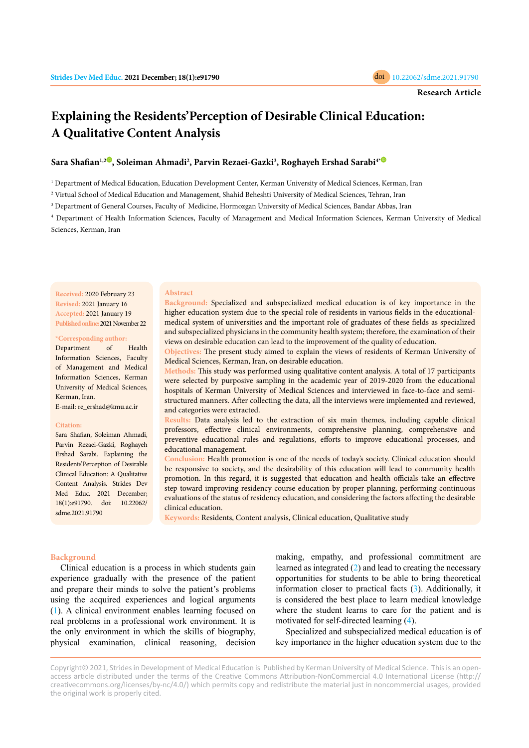# **Explaining the Residents'Perception of Desirable Clinical Education: A Qualitative Content Analysis**

## **Sara Shafian1,2 [,](https://orcid.org/0000-0002-8008-1511) Soleiman Ahmadi2 , Parvin Rezaei-Gazki3 , Roghayeh Ershad Sarabi[4\\*](https://orcid.org/0000-0001-8926-0156)**

1 Department of Medical Education, Education Development Center, Kerman University of Medical Sciences, Kerman, Iran

2 Virtual School of Medical Education and Management, Shahid Beheshti University of Medical Sciences, Tehran, Iran

3 Department of General Courses, Faculty of Medicine, Hormozgan University of Medical Sciences, Bandar Abbas, Iran

4 Department of Health Information Sciences, Faculty of Management and Medical Information Sciences, Kerman University of Medical Sciences, Kerman, Iran

**Received:** 2020 February 23 **Revised:** 2021 January 16 **Accepted:** 2021 January 19 **Published online:** 2021 November 22

#### **\*Corresponding author:**

Department of Health Information Sciences, Faculty of Management and Medical Information Sciences, Kerman University of Medical Sciences, Kerman, Iran.

E-mail: re\_ershad@kmu.ac.ir

#### **Citation:**

Sara Shafian, Soleiman Ahmadi, Parvin Rezaei-Gazki, Roghayeh Ershad Sarabi. Explaining the Residents'Perception of Desirable Clinical Education: A Qualitative Content Analysis. Strides Dev Med Educ. 2021 December; 18(1):e91790. doi: 10.22062/ sdme.2021.91790

#### **Abstract**

**Background:** Specialized and subspecialized medical education is of key importance in the higher education system due to the special role of residents in various fields in the educationalmedical system of universities and the important role of graduates of these fields as specialized and subspecialized physicians in the community health system; therefore, the examination of their views on desirable education can lead to the improvement of the quality of education.

**Objectives:** The present study aimed to explain the views of residents of Kerman University of Medical Sciences, Kerman, Iran, on desirable education.

**Methods:** This study was performed using qualitative content analysis. A total of 17 participants were selected by purposive sampling in the academic year of 2019-2020 from the educational hospitals of Kerman University of Medical Sciences and interviewed in face-to-face and semistructured manners. After collecting the data, all the interviews were implemented and reviewed, and categories were extracted.

**Results:** Data analysis led to the extraction of six main themes, including capable clinical professors, effective clinical environments, comprehensive planning, comprehensive and preventive educational rules and regulations, efforts to improve educational processes, and educational management.

**Conclusion:** Health promotion is one of the needs of today's society. Clinical education should be responsive to society, and the desirability of this education will lead to community health promotion. In this regard, it is suggested that education and health officials take an effective step toward improving residency course education by proper planning, performing continuous evaluations of the status of residency education, and considering the factors affecting the desirable clinical education.

**Keywords:** Residents, Content analysis, Clinical education, Qualitative study

## **Background**

Clinical education is a process in which students gain experience gradually with the presence of the patient and prepare their minds to solve the patient's problems using the acquired experiences and logical arguments [\(1](#page-6-0)). A clinical environment enables learning focused on real problems in a professional work environment. It is the only environment in which the skills of biography, physical examination, clinical reasoning, decision

making, empathy, and professional commitment are learned as integrated ([2\)](#page-6-0) and lead to creating the necessary opportunities for students to be able to bring theoretical information closer to practical facts [\(3](#page-6-0)). Additionally, it is considered the best place to learn medical knowledge where the student learns to care for the patient and is motivated for self-directed learning [\(4](#page-6-0)).

Specialized and subspecialized medical education is of key importance in the higher education system due to the

Copyright© 2021, Strides in Development of Medical Education is Published by Kerman University of Medical Science. This is an openaccess article distributed under the terms of the Creative Commons Attribution-NonCommercial 4.0 International License (http:// creativecommons.org/licenses/by-nc/4.0/) which permits copy and redistribute the material just in noncommercial usages, provided the original work is properly cited.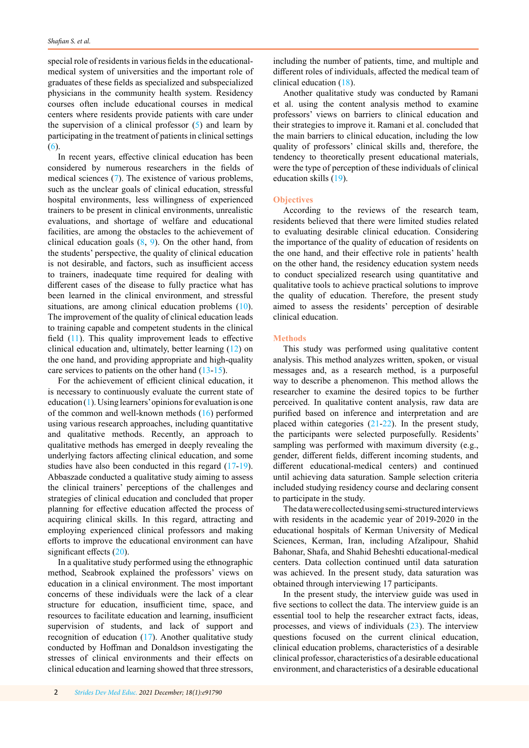special role of residents in various fields in the educationalmedical system of universities and the important role of graduates of these fields as specialized and subspecialized physicians in the community health system. Residency courses often include educational courses in medical centers where residents provide patients with care under the supervision of a clinical professor  $(5)$  $(5)$  and learn by participating in the treatment of patients in clinical settings [\(6](#page-6-0)).

In recent years, effective clinical education has been considered by numerous researchers in the fields of medical sciences [\(7](#page-6-0)). The existence of various problems, such as the unclear goals of clinical education, stressful hospital environments, less willingness of experienced trainers to be present in clinical environments, unrealistic evaluations, and shortage of welfare and educational facilities, are among the obstacles to the achievement of clinical education goals  $(8, 9)$  $(8, 9)$  $(8, 9)$  $(8, 9)$  $(8, 9)$ . On the other hand, from the students' perspective, the quality of clinical education is not desirable, and factors, such as insufficient access to trainers, inadequate time required for dealing with different cases of the disease to fully practice what has been learned in the clinical environment, and stressful situations, are among clinical education problems [\(10](#page-6-0)). The improvement of the quality of clinical education leads to training capable and competent students in the clinical field ([11](#page-6-0)). This quality improvement leads to effective clinical education and, ultimately, better learning ([12\)](#page-6-0) on the one hand, and providing appropriate and high-quality care services to patients on the other hand [\(13-15](#page-6-0)).

For the achievement of efficient clinical education, it is necessary to continuously evaluate the current state of education [\(1](#page-6-0)). Using learners' opinions for evaluation is one of the common and well-known methods ([16\)](#page-6-0) performed using various research approaches, including quantitative and qualitative methods. Recently, an approach to qualitative methods has emerged in deeply revealing the underlying factors affecting clinical education, and some studies have also been conducted in this regard ([17-](#page-6-0)[19](#page-7-0)). Abbaszade conducted a qualitative study aiming to assess the clinical trainers' perceptions of the challenges and strategies of clinical education and concluded that proper planning for effective education affected the process of acquiring clinical skills. In this regard, attracting and employing experienced clinical professors and making efforts to improve the educational environment can have significant effects ([20\)](#page-7-0).

In a qualitative study performed using the ethnographic method, Seabrook explained the professors' views on education in a clinical environment. The most important concerns of these individuals were the lack of a clear structure for education, insufficient time, space, and resources to facilitate education and learning, insufficient supervision of students, and lack of support and recognition of education [\(17](#page-7-0)). Another qualitative study conducted by Hoffman and Donaldson investigating the stresses of clinical environments and their effects on clinical education and learning showed that three stressors, including the number of patients, time, and multiple and different roles of individuals, affected the medical team of clinical education [\(18](#page-7-0)).

Another qualitative study was conducted by Ramani et al. using the content analysis method to examine professors' views on barriers to clinical education and their strategies to improve it. Ramani et al. concluded that the main barriers to clinical education, including the low quality of professors' clinical skills and, therefore, the tendency to theoretically present educational materials, were the type of perception of these individuals of clinical education skills ([19\)](#page-7-0).

## **Objectives**

According to the reviews of the research team, residents believed that there were limited studies related to evaluating desirable clinical education. Considering the importance of the quality of education of residents on the one hand, and their effective role in patients' health on the other hand, the residency education system needs to conduct specialized research using quantitative and qualitative tools to achieve practical solutions to improve the quality of education. Therefore, the present study aimed to assess the residents' perception of desirable clinical education.

#### **Methods**

This study was performed using qualitative content analysis. This method analyzes written, spoken, or visual messages and, as a research method, is a purposeful way to describe a phenomenon. This method allows the researcher to examine the desired topics to be further perceived. In qualitative content analysis, raw data are purified based on inference and interpretation and are placed within categories [\(21](#page-7-0)-[22\)](#page-7-0). In the present study, the participants were selected purposefully. Residents' sampling was performed with maximum diversity (e.g., gender, different fields, different incoming students, and different educational-medical centers) and continued until achieving data saturation. Sample selection criteria included studying residency course and declaring consent to participate in the study.

The data were collected using semi-structured interviews with residents in the academic year of 2019-2020 in the educational hospitals of Kerman University of Medical Sciences, Kerman, Iran, including Afzalipour, Shahid Bahonar, Shafa, and Shahid Beheshti educational-medical centers. Data collection continued until data saturation was achieved. In the present study, data saturation was obtained through interviewing 17 participants.

In the present study, the interview guide was used in five sections to collect the data. The interview guide is an essential tool to help the researcher extract facts, ideas, processes, and views of individuals ([23\)](#page-7-0). The interview questions focused on the current clinical education, clinical education problems, characteristics of a desirable clinical professor, characteristics of a desirable educational environment, and characteristics of a desirable educational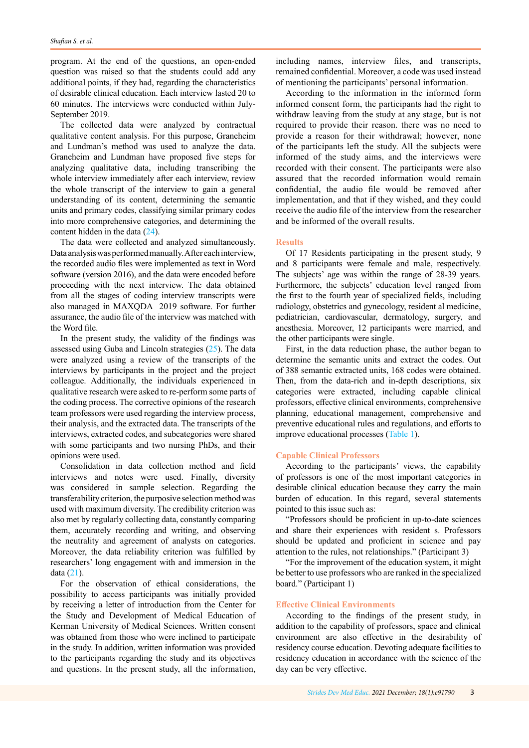program. At the end of the questions, an open-ended question was raised so that the students could add any additional points, if they had, regarding the characteristics of desirable clinical education. Each interview lasted 20 to 60 minutes. The interviews were conducted within July-September 2019.

The collected data were analyzed by contractual qualitative content analysis. For this purpose, Graneheim and Lundman's method was used to analyze the data. Graneheim and Lundman have proposed five steps for analyzing qualitative data, including transcribing the whole interview immediately after each interview, review the whole transcript of the interview to gain a general understanding of its content, determining the semantic units and primary codes, classifying similar primary codes into more comprehensive categories, and determining the content hidden in the data [\(24](#page-7-0)).

The data were collected and analyzed simultaneously. Data analysis was performed manually. After each interview, the recorded audio files were implemented as text in Word software (version 2016), and the data were encoded before proceeding with the next interview. The data obtained from all the stages of coding interview transcripts were also managed in MAXQDA 2019 software. For further assurance, the audio file of the interview was matched with the Word file.

In the present study, the validity of the findings was assessed using Guba and Lincoln strategies [\(25\)](#page-7-0). The data were analyzed using a review of the transcripts of the interviews by participants in the project and the project colleague. Additionally, the individuals experienced in qualitative research were asked to re-perform some parts of the coding process. The corrective opinions of the research team professors were used regarding the interview process, their analysis, and the extracted data. The transcripts of the interviews, extracted codes, and subcategories were shared with some participants and two nursing PhDs, and their opinions were used.

Consolidation in data collection method and field interviews and notes were used. Finally, diversity was considered in sample selection. Regarding the transferability criterion, the purposive selection method was used with maximum diversity. The credibility criterion was also met by regularly collecting data, constantly comparing them, accurately recording and writing, and observing the neutrality and agreement of analysts on categories. Moreover, the data reliability criterion was fulfilled by researchers' long engagement with and immersion in the data ([21\)](#page-7-0).

For the observation of ethical considerations, the possibility to access participants was initially provided by receiving a letter of introduction from the Center for the Study and Development of Medical Education of Kerman University of Medical Sciences. Written consent was obtained from those who were inclined to participate in the study. In addition, written information was provided to the participants regarding the study and its objectives and questions. In the present study, all the information,

including names, interview files, and transcripts, remained confidential. Moreover, a code was used instead of mentioning the participants' personal information.

According to the information in the informed form informed consent form, the participants had the right to withdraw leaving from the study at any stage, but is not required to provide their reason. there was no need to provide a reason for their withdrawal; however, none of the participants left the study. All the subjects were informed of the study aims, and the interviews were recorded with their consent. The participants were also assured that the recorded information would remain confidential, the audio file would be removed after implementation, and that if they wished, and they could receive the audio file of the interview from the researcher and be informed of the overall results.

## **Results**

Of 17 Residents participating in the present study, 9 and 8 participants were female and male, respectively. The subjects' age was within the range of 28-39 years. Furthermore, the subjects' education level ranged from the first to the fourth year of specialized fields, including radiology, obstetrics and gynecology, resident al medicine, pediatrician, cardiovascular, dermatology, surgery, and anesthesia. Moreover, 12 participants were married, and the other participants were single.

First, in the data reduction phase, the author began to determine the semantic units and extract the codes. Out of 388 semantic extracted units, 168 codes were obtained. Then, from the data-rich and in-depth descriptions, six categories were extracted, including capable clinical professors, effective clinical environments, comprehensive planning, educational management, comprehensive and preventive educational rules and regulations, and efforts to improve educational processes [\(Table 1\)](#page-3-0).

## **Capable Clinical Professors**

According to the participants' views, the capability of professors is one of the most important categories in desirable clinical education because they carry the main burden of education. In this regard, several statements pointed to this issue such as:

"Professors should be proficient in up-to-date sciences and share their experiences with resident s. Professors should be updated and proficient in science and pay attention to the rules, not relationships." (Participant 3)

"For the improvement of the education system, it might be better to use professors who are ranked in the specialized board." (Participant 1)

#### **Effective Clinical Environments**

According to the findings of the present study, in addition to the capability of professors, space and clinical environment are also effective in the desirability of residency course education. Devoting adequate facilities to residency education in accordance with the science of the day can be very effective.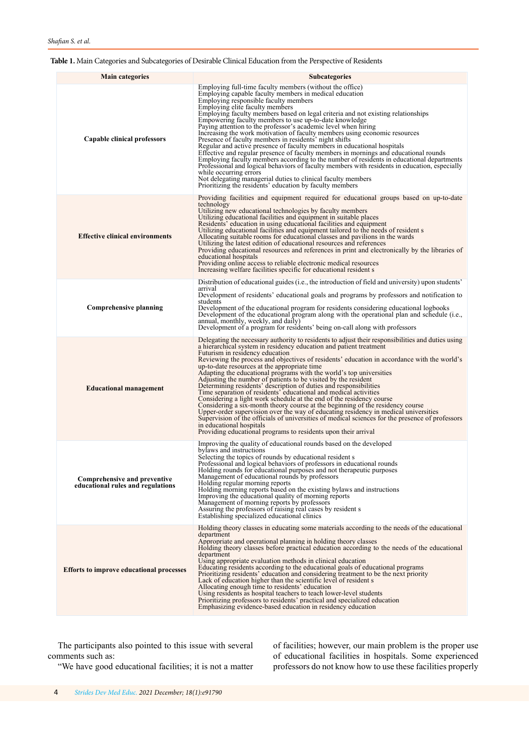# <span id="page-3-0"></span>**Table 1.** Main Categories and Subcategories of Desirable Clinical Education from the Perspective of Residents

| <b>Main categories</b>                                            | <b>Subcategories</b>                                                                                                                                                                                                                                                                                                                                                                                                                                                                                                                                                                                                                                                                                                                                                                                                                                                                                                                                                                                                                                                                          |
|-------------------------------------------------------------------|-----------------------------------------------------------------------------------------------------------------------------------------------------------------------------------------------------------------------------------------------------------------------------------------------------------------------------------------------------------------------------------------------------------------------------------------------------------------------------------------------------------------------------------------------------------------------------------------------------------------------------------------------------------------------------------------------------------------------------------------------------------------------------------------------------------------------------------------------------------------------------------------------------------------------------------------------------------------------------------------------------------------------------------------------------------------------------------------------|
| Capable clinical professors                                       | Employing full-time faculty members (without the office)<br>Employing capable faculty members in medical education<br>Employing responsible faculty members<br>Employing elite faculty members<br>Employing faculty members based on legal criteria and not existing relationships<br>Empowering faculty members to use up-to-date knowledge<br>Paying attention to the professor's academic level when hiring<br>Increasing the work motivation of faculty members using economic resources<br>Presence of faculty members in residents' night shifts<br>Regular and active presence of faculty members in educational hospitals<br>Effective and regular presence of faculty members in mornings and educational rounds<br>Employing faculty members according to the number of residents in educational departments<br>Professional and logical behaviors of faculty members with residents in education, especially<br>while occurring errors<br>Not delegating managerial duties to clinical faculty members<br>Prioritizing the residents' education by faculty members                 |
| <b>Effective clinical environments</b>                            | Providing facilities and equipment required for educational groups based on up-to-date<br>technology<br>Utilizing new educational technologies by faculty members<br>Utilizing educational facilities and equipment in suitable places<br>Residents' education in using educational facilities and equipment<br>Utilizing educational facilities and equipment tailored to the needs of resident s<br>Allocating suitable rooms for educational classes and pavilions in the wards<br>Utilizing the latest edition of educational resources and references<br>Providing educational resources and references in print and electronically by the libraries of<br>educational hospitals<br>Providing online access to reliable electronic medical resources<br>Increasing welfare facilities specific for educational resident s                                                                                                                                                                                                                                                                |
| Comprehensive planning                                            | Distribution of educational guides (i.e., the introduction of field and university) upon students'<br>arrival<br>Development of residents' educational goals and programs by professors and notification to<br>students<br>Development of the educational program for residents considering educational logbooks<br>Development of the educational program along with the operational plan and schedule (i.e.,<br>annual, monthly, weekly, and daily)<br>Development of a program for residents' being on-call along with professors                                                                                                                                                                                                                                                                                                                                                                                                                                                                                                                                                          |
| <b>Educational management</b>                                     | Delegating the necessary authority to residents to adjust their responsibilities and duties using<br>a hierarchical system in residency education and patient treatment<br>Futurism in residency education<br>Reviewing the process and objectives of residents' education in accordance with the world's<br>up-to-date resources at the appropriate time<br>Adapting the educational programs with the world's top universities<br>Adjusting the number of patients to be visited by the resident<br>Determining residents' description of duties and responsibilities<br>Time separation of residents' educational and medical activities<br>Considering a light work schedule at the end of the residency course<br>Considering a six-month theory course at the beginning of the residency course<br>Upper-order supervision over the way of educating residency in medical universities<br>Supervision of the officials of universities of medical sciences for the presence of professors<br>in educational hospitals<br>Providing educational programs to residents upon their arrival |
| Comprehensive and preventive<br>educational rules and regulations | Improving the quality of educational rounds based on the developed<br>bylaws and instructions<br>Selecting the topics of rounds by educational resident s<br>Professional and logical behaviors of professors in educational rounds<br>Holding rounds for educational purposes and not therapeutic purposes<br>Management of educational rounds by professors<br>Holding regular morning reports<br>Holding morning reports based on the existing bylaws and instructions<br>Improving the educational quality of morning reports<br>Management of morning reports by professors<br>Assuring the professors of raising real cases by resident s<br>Establishing specialized educational clinics                                                                                                                                                                                                                                                                                                                                                                                               |
| <b>Efforts to improve educational processes</b>                   | Holding theory classes in educating some materials according to the needs of the educational<br>department<br>Appropriate and operational planning in holding theory classes<br>Holding theory classes before practical education according to the needs of the educational<br>department<br>Using appropriate evaluation methods in clinical education<br>Educating residents according to the educational goals of educational programs<br>Prioritizing residents' education and considering treatment to be the next priority<br>Lack of education higher than the scientific level of resident s<br>Allocating enough time to residents' education<br>Using residents as hospital teachers to teach lower-level students<br>Prioritizing professors to residents' practical and specialized education<br>Emphasizing evidence-based education in residency education                                                                                                                                                                                                                      |

The participants also pointed to this issue with several comments such as:

of facilities; however, our main problem is the proper use of educational facilities in hospitals. Some experienced professors do not know how to use these facilities properly

"We have good educational facilities; it is not a matter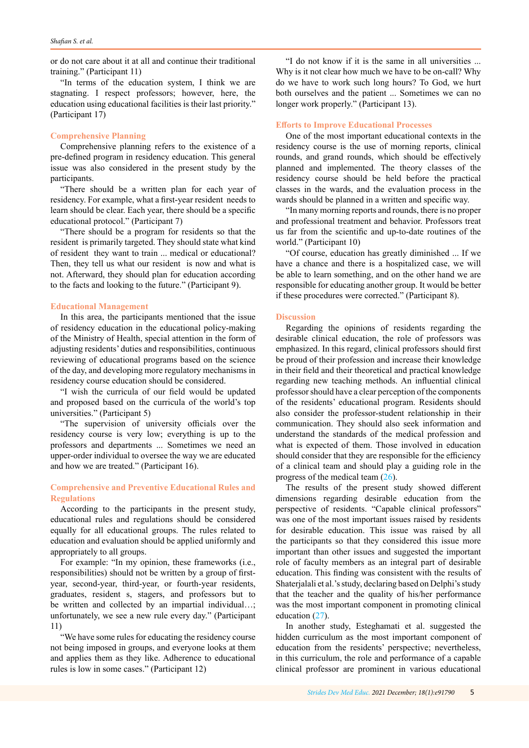or do not care about it at all and continue their traditional training." (Participant 11)

"In terms of the education system, I think we are stagnating. I respect professors; however, here, the education using educational facilities is their last priority." (Participant 17)

#### **Comprehensive Planning**

Comprehensive planning refers to the existence of a pre-defined program in residency education. This general issue was also considered in the present study by the participants.

"There should be a written plan for each year of residency. For example, what a first-year resident needs to learn should be clear. Each year, there should be a specific educational protocol." (Participant 7)

"There should be a program for residents so that the resident is primarily targeted. They should state what kind of resident they want to train ... medical or educational? Then, they tell us what our resident is now and what is not. Afterward, they should plan for education according to the facts and looking to the future." (Participant 9).

#### **Educational Management**

In this area, the participants mentioned that the issue of residency education in the educational policy-making of the Ministry of Health, special attention in the form of adjusting residents' duties and responsibilities, continuous reviewing of educational programs based on the science of the day, and developing more regulatory mechanisms in residency course education should be considered.

"I wish the curricula of our field would be updated and proposed based on the curricula of the world's top universities." (Participant 5)

"The supervision of university officials over the residency course is very low; everything is up to the professors and departments ... Sometimes we need an upper-order individual to oversee the way we are educated and how we are treated." (Participant 16).

# **Comprehensive and Preventive Educational Rules and Regulations**

According to the participants in the present study, educational rules and regulations should be considered equally for all educational groups. The rules related to education and evaluation should be applied uniformly and appropriately to all groups.

For example: "In my opinion, these frameworks (i.e., responsibilities) should not be written by a group of firstyear, second-year, third-year, or fourth-year residents, graduates, resident s, stagers, and professors but to be written and collected by an impartial individual...; unfortunately, we see a new rule every day." (Participant 11)

"We have some rules for educating the residency course not being imposed in groups, and everyone looks at them and applies them as they like. Adherence to educational rules is low in some cases." (Participant 12)

"I do not know if it is the same in all universities ... Why is it not clear how much we have to be on-call? Why do we have to work such long hours? To God, we hurt both ourselves and the patient ... Sometimes we can no longer work properly." (Participant 13).

#### **Efforts to Improve Educational Processes**

One of the most important educational contexts in the residency course is the use of morning reports, clinical rounds, and grand rounds, which should be effectively planned and implemented. The theory classes of the residency course should be held before the practical classes in the wards, and the evaluation process in the wards should be planned in a written and specific way.

"In many morning reports and rounds, there is no proper and professional treatment and behavior. Professors treat us far from the scientific and up-to-date routines of the world." (Participant 10)

"Of course, education has greatly diminished ... If we have a chance and there is a hospitalized case, we will be able to learn something, and on the other hand we are responsible for educating another group. It would be better if these procedures were corrected." (Participant 8).

#### **Discussion**

Regarding the opinions of residents regarding the desirable clinical education, the role of professors was emphasized. In this regard, clinical professors should first be proud of their profession and increase their knowledge in their field and their theoretical and practical knowledge regarding new teaching methods. An influential clinical professor should have a clear perception of the components of the residents' educational program. Residents should also consider the professor-student relationship in their communication. They should also seek information and understand the standards of the medical profession and what is expected of them. Those involved in education should consider that they are responsible for the efficiency of a clinical team and should play a guiding role in the progress of the medical team ([26\)](#page-7-0).

The results of the present study showed different dimensions regarding desirable education from the perspective of residents. "Capable clinical professors" was one of the most important issues raised by residents for desirable education. This issue was raised by all the participants so that they considered this issue more important than other issues and suggested the important role of faculty members as an integral part of desirable education. This finding was consistent with the results of Shaterjalali et al.'s study, declaring based on Delphi's study that the teacher and the quality of his/her performance was the most important component in promoting clinical education [\(27](#page-7-0)).

In another study, Esteghamati et al. suggested the hidden curriculum as the most important component of education from the residents' perspective; nevertheless, in this curriculum, the role and performance of a capable clinical professor are prominent in various educational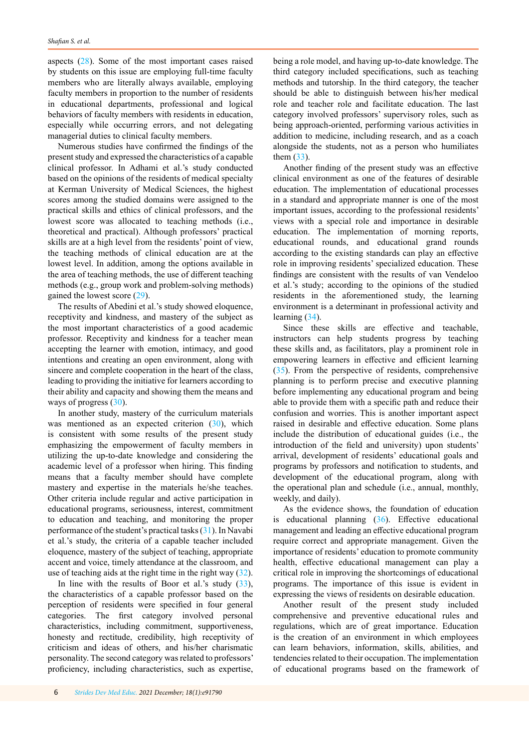aspects ([28\)](#page-7-0). Some of the most important cases raised by students on this issue are employing full-time faculty members who are literally always available, employing faculty members in proportion to the number of residents in educational departments, professional and logical behaviors of faculty members with residents in education, especially while occurring errors, and not delegating managerial duties to clinical faculty members.

Numerous studies have confirmed the findings of the present study and expressed the characteristics of a capable clinical professor. In Adhami et al.'s study conducted based on the opinions of the residents of medical specialty at Kerman University of Medical Sciences, the highest scores among the studied domains were assigned to the practical skills and ethics of clinical professors, and the lowest score was allocated to teaching methods (i.e., theoretical and practical). Although professors' practical skills are at a high level from the residents' point of view, the teaching methods of clinical education are at the lowest level. In addition, among the options available in the area of teaching methods, the use of different teaching methods (e.g., group work and problem-solving methods) gained the lowest score [\(29](#page-7-0)).

The results of Abedini et al.'s study showed eloquence, receptivity and kindness, and mastery of the subject as the most important characteristics of a good academic professor. Receptivity and kindness for a teacher mean accepting the learner with emotion, intimacy, and good intentions and creating an open environment, along with sincere and complete cooperation in the heart of the class, leading to providing the initiative for learners according to their ability and capacity and showing them the means and ways of progress [\(30](#page-7-0)).

In another study, mastery of the curriculum materials was mentioned as an expected criterion ([30\)](#page-7-0), which is consistent with some results of the present study emphasizing the empowerment of faculty members in utilizing the up-to-date knowledge and considering the academic level of a professor when hiring. This finding means that a faculty member should have complete mastery and expertise in the materials he/she teaches. Other criteria include regular and active participation in educational programs, seriousness, interest, commitment to education and teaching, and monitoring the proper performance of the student's practical tasks [\(31](#page-7-0)). In Navabi et al.'s study, the criteria of a capable teacher included eloquence, mastery of the subject of teaching, appropriate accent and voice, timely attendance at the classroom, and use of teaching aids at the right time in the right way [\(32](#page-7-0)).

In line with the results of Boor et al.'s study  $(33)$  $(33)$ , the characteristics of a capable professor based on the perception of residents were specified in four general categories. The first category involved personal characteristics, including commitment, supportiveness, honesty and rectitude, credibility, high receptivity of criticism and ideas of others, and his/her charismatic personality. The second category was related to professors' proficiency, including characteristics, such as expertise,

weekly, and daily). As the evidence shows, the foundation of education

is educational planning ([36](#page-7-0)). Effective educational management and leading an effective educational program require correct and appropriate management. Given the importance of residents' education to promote community health, effective educational management can play a critical role in improving the shortcomings of educational programs. The importance of this issue is evident in expressing the views of residents on desirable education.

Another result of the present study included comprehensive and preventive educational rules and regulations, which are of great importance. Education is the creation of an environment in which employees can learn behaviors, information, skills, abilities, and tendencies related to their occupation. The implementation of educational programs based on the framework of

being a role model, and having up-to-date knowledge. The third category included specifications, such as teaching methods and tutorship. In the third category, the teacher should be able to distinguish between his/her medical role and teacher role and facilitate education. The last category involved professors' supervisory roles, such as being approach-oriented, performing various activities in addition to medicine, including research, and as a coach alongside the students, not as a person who humiliates them [\(33](#page-7-0)).

Another finding of the present study was an effective clinical environment as one of the features of desirable education. The implementation of educational processes in a standard and appropriate manner is one of the most important issues, according to the professional residents' views with a special role and importance in desirable education. The implementation of morning reports, educational rounds, and educational grand rounds according to the existing standards can play an effective role in improving residents' specialized education. These findings are consistent with the results of van Vendeloo et al.'s study; according to the opinions of the studied residents in the aforementioned study, the learning environment is a determinant in professional activity and learning [\(34](#page-7-0)).

Since these skills are effective and teachable, instructors can help students progress by teaching these skills and, as facilitators, play a prominent role in empowering learners in effective and efficient learning ([35\)](#page-7-0). From the perspective of residents, comprehensive planning is to perform precise and executive planning before implementing any educational program and being able to provide them with a specific path and reduce their confusion and worries. This is another important aspect raised in desirable and effective education. Some plans include the distribution of educational guides (i.e., the introduction of the field and university) upon students' arrival, development of residents' educational goals and programs by professors and notification to students, and development of the educational program, along with the operational plan and schedule (i.e., annual, monthly,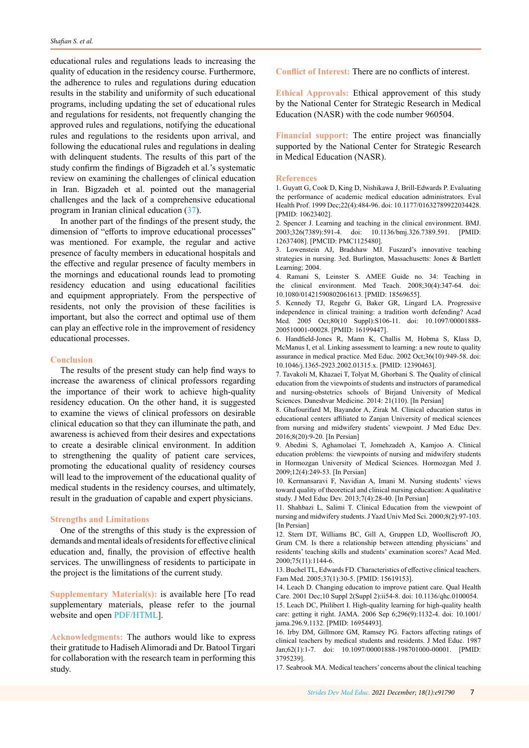<span id="page-6-0"></span>educational rules and regulations leads to increasing the quality of education in the residency course. Furthermore, the adherence to rules and regulations during education results in the stability and uniformity of such educational programs, including updating the set of educational rules and regulations for residents, not frequently changing the approved rules and regulations, notifying the educational rules and regulations to the residents upon arrival, and following the educational rules and regulations in dealing with delinquent students. The results of this part of the study confirm the findings of Bigzadeh et al.'s systematic review on examining the challenges of clinical education in Iran. Bigzadeh et al. pointed out the managerial challenges and the lack of a comprehensive educational program in Iranian clinical education ([37\)](#page-7-0).

In another part of the findings of the present study, the dimension of "efforts to improve educational processes" was mentioned. For example, the regular and active presence of faculty members in educational hospitals and the effective and regular presence of faculty members in the mornings and educational rounds lead to promoting residency education and using educational facilities and equipment appropriately. From the perspective of residents, not only the provision of these facilities is important, but also the correct and optimal use of them can play an effective role in the improvement of residency educational processes.

#### **Conclusion**

The results of the present study can help find ways to increase the awareness of clinical professors regarding the importance of their work to achieve high-quality residency education. On the other hand, it is suggested to examine the views of clinical professors on desirable clinical education so that they can illuminate the path, and awareness is achieved from their desires and expectations to create a desirable clinical environment. In addition to strengthening the quality of patient care services, promoting the educational quality of residency courses will lead to the improvement of the educational quality of medical students in the residency courses, and ultimately, result in the graduation of capable and expert physicians.

#### **Strengths and Limitations**

One of the strengths of this study is the expression of demands and mental ideals of residents for effective clinical education and, finally, the provision of effective health services. The unwillingness of residents to participate in the project is the limitations of the current study.

**Supplementary Material(s):** is available here [To read supplementary materials, please refer to the journal website and open [PDF/HTML](http://sdme.kmu.ac.ir/jufile?ar_sfile=814128
)].

**Acknowledgments:** The authors would like to express their gratitude to Hadiseh Alimoradi and Dr. Batool Tirgari for collaboration with the research team in performing this study.

**Conflict of Interest:** There are no conflicts of interest.

**Ethical Approvals:** Ethical approvement of this study by the National Center for Strategic Research in Medical Education (NASR) with the code number 960504.

**Financial support:** The entire project was financially supported by the National Center for Strategic Research in Medical Education (NASR).

#### **References**

1. Guyatt G, Cook D, King D, Nishikawa J, Brill-Edwards P. Evaluating the performance of academic medical education administrators. Eval Health Prof. 1999 Dec;22(4):484-96. doi: 10.1177/01632789922034428. [PMID: 10623402].

2. Spencer J. Learning and teaching in the clinical environment. BMJ. 2003;326(7389):591-4. doi: 10.1136/bmj.326.7389.591. [PMID: 12637408]. [PMCID: PMC1125480].

3. Lowenstein AJ, Bradshaw MJ. Fuszard's innovative teaching strategies in nursing. 3ed. Burlington, Massachusetts: Jones & Bartlett Learning; 2004.

4. Ramani S, Leinster S. AMEE Guide no. 34: Teaching in the clinical environment. Med Teach. 2008;30(4):347-64. doi: 10.1080/01421590802061613. [PMID: 18569655].

5. Kennedy TJ, Regehr G, Baker GR, Lingard LA. Progressive independence in clinical training: a tradition worth defending? Acad Med. 2005 Oct;80(10 Suppl):S106-11. doi: 10.1097/00001888- 200510001-00028. [PMID: 16199447].

6. Handfield‐Jones R, Mann K, Challis M, Hobma S, Klass D, McManus I, et al. Linking assessment to learning: a new route to quality assurance in medical practice. Med Educ. 2002 Oct;36(10):949-58. doi: 10.1046/j.1365-2923.2002.01315.x. [PMID: 12390463].

7. Tavakoli M, Khazaei T, Tolyat M, Ghorbani S. The Quality of clinical education from the viewpoints of students and instructors of paramedical and nursing-obstetrics schools of Birjand University of Medical Sciences. Daneshvar Medicine. 2014: 21(110). [In Persian]

8. Ghafourifard M, Bayandor A, Zirak M. Clinical education status in educational centers affiliated to Zanjan University of medical sciences from nursing and midwifery students' viewpoint. J Med Educ Dev. 2016;8(20):9-20. [In Persian]

9. Abedini S, Aghamolaei T, Jomehzadeh A, Kamjoo A. Clinical education problems: the viewpoints of nursing and midwifery students in Hormozgan University of Medical Sciences. Hormozgan Med J. 2009;12(4):249-53. [In Persian]

10. Kermansaravi F, Navidian A, Imani M. Nursing students' views toward quality of theoretical and clinical nursing education: A qualitative study. J Med Educ Dev. 2013;7(4):28-40. [In Persian]

11. Shahbazi L, Salimi T. Clinical Education from the viewpoint of nursing and midwifery students. J Yazd Univ Med Sci. 2000;8(2):97-103. [In Persian]

12. Stern DT, Williams BC, Gill A, Gruppen LD, Woolliscroft JO, Grum CM. Is there a relationship between attending physicians' and residents' teaching skills and students' examination scores? Acad Med. 2000;75(11):1144-6.

13. Buchel TL, Edwards FD. Characteristics of effective clinical teachers. Fam Med. 2005;37(1):30-5. [PMID: 15619153].

14. Leach D. Changing education to improve patient care. Qual Health Care. 2001 Dec;10 Suppl 2(Suppl 2):ii54-8. doi: 10.1136/qhc.0100054.

15. Leach DC, Philibert I. High-quality learning for high-quality health care: getting it right. JAMA. 2006 Sep 6;296(9):1132-4. doi: 10.1001/ jama.296.9.1132. [PMID: 16954493].

16. Irby DM, Gillmore GM, Ramsey PG. Factors affecting ratings of clinical teachers by medical students and residents. J Med Educ. 1987 Jan;62(1):1-7. doi: 10.1097/00001888-198701000-00001. [PMID: 3795239].

17. Seabrook MA. Medical teachers' concerns about the clinical teaching